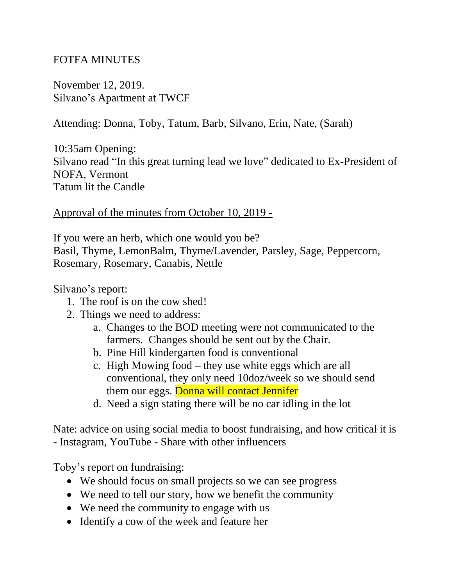## FOTFA MINUTES

November 12, 2019. Silvano's Apartment at TWCF

Attending: Donna, Toby, Tatum, Barb, Silvano, Erin, Nate, (Sarah)

10:35am Opening: Silvano read "In this great turning lead we love" dedicated to Ex-President of NOFA, Vermont Tatum lit the Candle

## Approval of the minutes from October 10, 2019 -

If you were an herb, which one would you be? Basil, Thyme, LemonBalm, Thyme/Lavender, Parsley, Sage, Peppercorn, Rosemary, Rosemary, Canabis, Nettle

Silvano's report:

- 1. The roof is on the cow shed!
- 2. Things we need to address:
	- a. Changes to the BOD meeting were not communicated to the farmers. Changes should be sent out by the Chair.
	- b. Pine Hill kindergarten food is conventional
	- c. High Mowing food they use white eggs which are all conventional, they only need 10doz/week so we should send them our eggs. Donna will contact Jennifer
	- d. Need a sign stating there will be no car idling in the lot

Nate: advice on using social media to boost fundraising, and how critical it is - Instagram, YouTube - Share with other influencers

Toby's report on fundraising:

- We should focus on small projects so we can see progress
- We need to tell our story, how we benefit the community
- We need the community to engage with us
- Identify a cow of the week and feature her